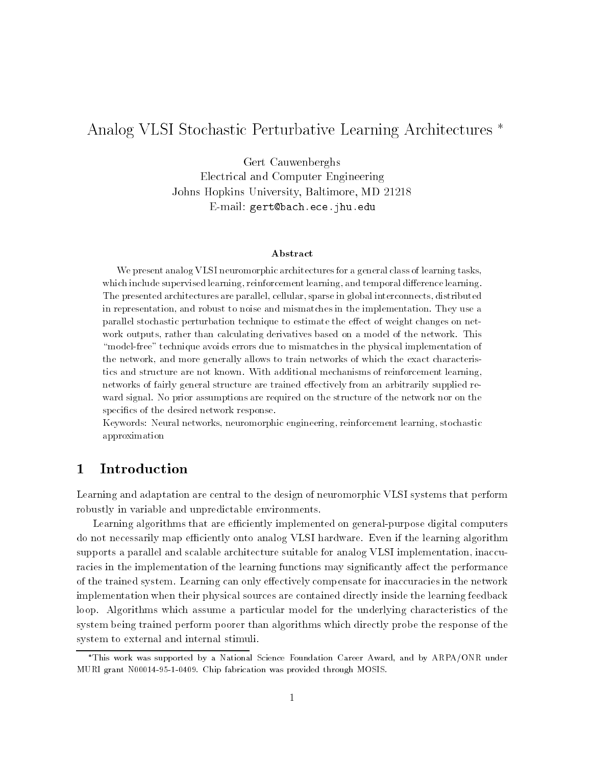# Analog VLSI Stochastic Perturbative Learning Architectures

Gert Causen Canto Cauguster Cause

Electrical and Computer Engineering Johns Hopkins University, Baltimore, MD 21218 E-mail: gert@bach.ece.jhu.edu

#### Abstract

We present analog VLSI neuromorphic architectures for a general class of learning tasks,which include supervised learning, reinforcement learning, and temporal difference learning. The presented architectures are parallel, cellular, sparse in global interconnects, distributedin representation, and robust to noise and mismatches in the implementation. They use aparallel stochastic perturbation technique to estimate the effect of weight changes on network outputs, rather than calculating derivatives based on a model of the network. This \model-free" technique avoids errors due to mismatches in the physical implementation ofthe network, and more generally allows to train networks of which the exact characteristics and structure are not known. With additional mechanisms of reinforcement learning, networks of fairly general structure are trained effectively from an arbitrarily supplied reward signal. No prior assumptions are required on the structure of the network nor on thespecifics of the desired network response.

Keywords: Neural networks, neuromorphic engineering, reinforcement learning, stochastic approximation

## 1 Introduction

Learning and adaptation are central to the design of neuromorphic VLSI systems that perform robustly in variable and unpredictable environments.

Learning algorithms that are efficiently implemented on general-purpose digital computers do not necessarily map efficiently onto analog VLSI hardware. Even if the learning algorithm supports a parallel and scalable architecture suitable for analog VLSI implementation, inaccuracies in the implementation of the learning functions may significantly affect the performance of the trained system. Learning can only effectively compensate for inaccuracies in the network implementation when their physical sources are contained directly inside the learning feedback loop. Algorithms which assume a particular model for the underlying characteristics of the system being trained perform poorer than algorithms which directly probe the response of the system to external and internal stimuli.

This work was supported by a National Science Foundation Career Award, and by ARPA/ONR under MURI grant N00014-95-1-0409. Chip fabrication was provided through MOSIS.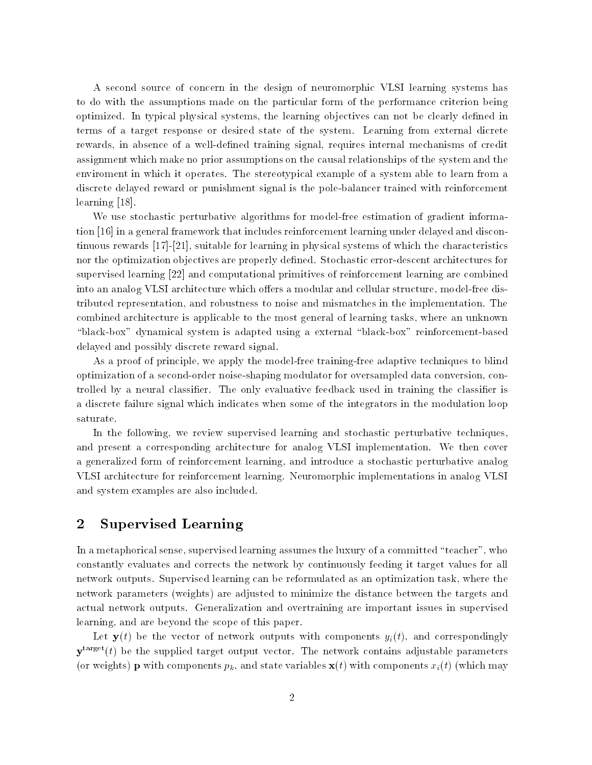A second source of concern in the design of neuromorphic VLSI learning systems has to do with the assumptions made on the particular form of the performance criterion being optimized. In typical physical systems, the learning objectives can not be clearly defined in terms of a target response or desired state of the system. Learning from external dicrete rewards, in absence of a well-defined training signal, requires internal mechanisms of credit assignment which make no prior assumptions on the causal relationships of the system and the enviroment in which it operates. The stereotypical example of a system able to learn from a discrete delayed reward or punishment signal is the pole-balancer trained with reinforcement learning [18].

We use stochastic perturbative algorithms for model-free estimation of gradient information [16] in a general framework that includes reinforcement learning under delayed and discontinuous rewards [17]-[21], suitable for learning in physical systems of which the characteristics nor the optimization objectives are properly defined. Stochastic error-descent architectures for supervised learning [22] and computational primitives of reinforcement learning are combined into an analog VLSI architecture which offers a modular and cellular structure, model-free distributed representation, and robustness to noise and mismatches in the implementation. The combined architecture is applicable to the most general of learning tasks, where an unknown \black-box" dynamical system is adapted using a external \black-box" reinforcement-based delayed and possibly discrete reward signal.

As a proof of principle, we apply the model-free training-free adaptive techniques to blind optimization of a second-order noise-shaping modulator for oversampled data conversion, controlled by a neural classifier. The only evaluative feedback used in training the classifier is a discrete failure signal which indicates when some of the integrators in the modulation loop saturate.

In the following, we review supervised learning and stochastic perturbative techniques, and present a corresponding architecture for analog VLSI implementation. We then cover a generalized form of reinforcement learning, and introduce a stochastic perturbative analog VLSI architecture for reinforcement learning. Neuromorphic implementations in analog VLSI and system examples are also included.

## 2 Supervised Learning

In a metaphorical sense, supervised learning assumes the luxury of a committed \teacher", who constantly evaluates and corrects the network by continuously feeding it target values for all network outputs. Supervised learning can be reformulated as an optimization task, where the network parameters (weights) are adjusted to minimize the distance between the targets and actual network outputs. Generalization and overtraining are important issues in supervised learning, and are beyond the scope of this paper.

Let  $y(t)$  be the vector of network outputs with components  $y_i(t)$ , and correspondingly  $\mathbf{y}^{\text{target}}(t)$  be the supplied target output vector. The network contains adjustable parameters (or weights) **p** with components  $p_k$ , and state variables  $\mathbf{x}(t)$  with components  $x_i(t)$  (which may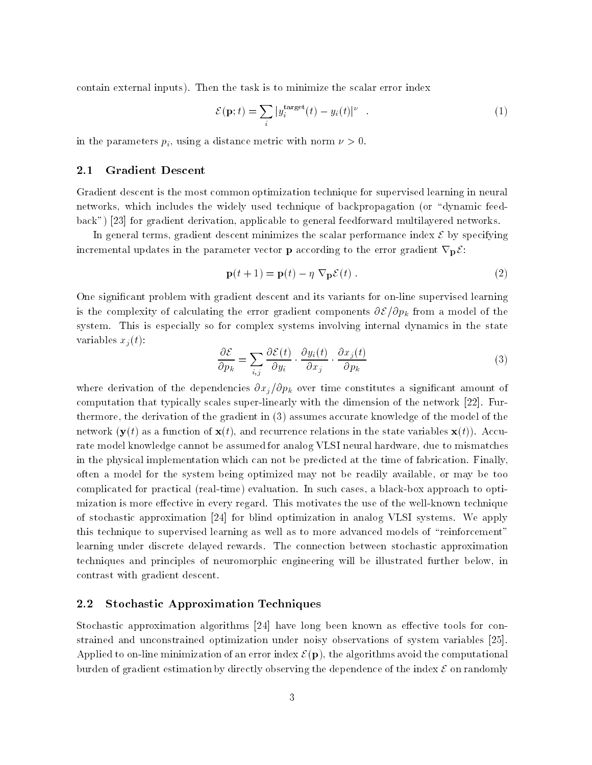contain external inputs). Then the task is to minimize the scalar error index

$$
\mathcal{E}(\mathbf{p};t) = \sum_{i} |y_i^{\text{target}}(t) - y_i(t)|^{\nu} \quad . \tag{1}
$$

in the parameters  $p_i$ , using a distance metric with norm  $\nu > 0$ .

#### 2.1 Gradient Descent

Gradient descent is the most common optimization technique for supervised learning in neural networks, which includes the widely used technique of backpropagation (or "dynamic feedback") [23] for gradient derivation, applicable to general feedforward multilayered networks.

In general terms, gradient descent minimizes the scalar performance index  $\mathcal E$  by specifying incremental updates in the parameter vector **p** according to the error gradient  $\nabla_{\mathbf{p}}\mathcal{E}$ :

$$
\mathbf{p}(t+1) = \mathbf{p}(t) - \eta \nabla_{\mathbf{p}} \mathcal{E}(t) . \tag{2}
$$

One signicant problem with gradient descent and its variants for on-line supervised learning is the complexity of calculating the error gradient components  $\partial \mathcal{E}/\partial p_k$  from a model of the system. This is especially so for complex systems involving internal dynamics in the state variables  $x_i(t)$ :

$$
\frac{\partial \mathcal{E}}{\partial p_k} = \sum_{i,j} \frac{\partial \mathcal{E}(t)}{\partial y_i} \cdot \frac{\partial y_i(t)}{\partial x_j} \cdot \frac{\partial x_j(t)}{\partial p_k} \tag{3}
$$

where derivation of the dependencies  $\partial x_i/\partial p_k$  over time constitutes a significant amount of computation that typically scales super-linearly with the dimension of the network [22]. Furthermore, the derivation of the gradient in (3) assumes accurate knowledge of the model of the network  $(\mathbf{y}(t))$  as a function of  $\mathbf{x}(t)$ , and recurrence relations in the state variables  $\mathbf{x}(t)$ ). Accurate model knowledge cannot be assumed for analog VLSI neural hardware, due to mismatches in the physical implementation which can not be predicted at the time of fabrication. Finally, often a model for the system being optimized may not be readily available, or may be too complicated for practical (real-time) evaluation. In such cases, a black-box approach to optimization is more effective in every regard. This motivates the use of the well-known technique of stochastic approximation  $[24]$  for blind optimization in analog VLSI systems. We apply this technique to supervised learning as well as to more advanced models of \reinforcement" learning under discrete delayed rewards. The connection between stochastic approximation techniques and principles of neuromorphic engineering will be illustrated further below, in contrast with gradient descent.

#### 2.2 Stochastic Approximation Techniques

Stochastic approximation algorithms  $[24]$  have long been known as effective tools for constrained and unconstrained optimization under noisy observations of system variables [25]. Applied to on-line minimization of an error index  $\mathcal{E}(\mathbf{p})$ , the algorithms avoid the computational burden of gradient estimation by directly observing the dependence of the index  $\mathcal E$  on randomly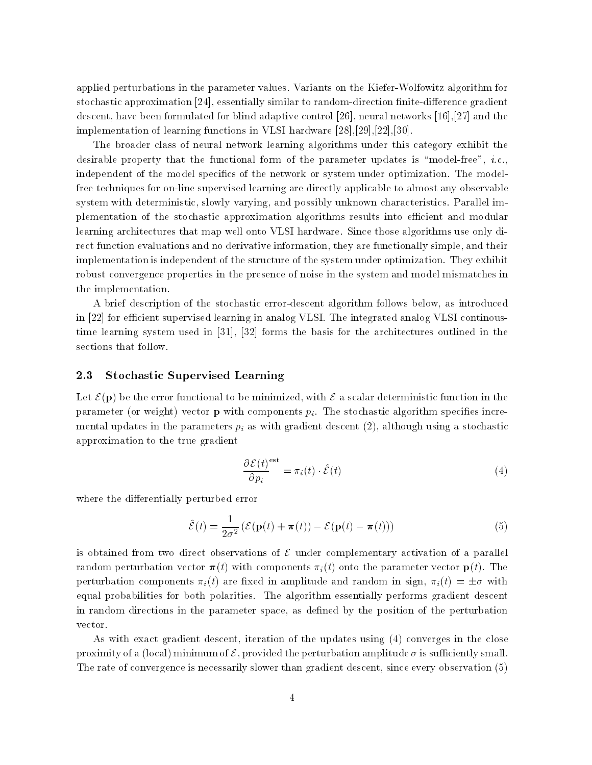applied perturbations in the parameter values. Variants on the Kiefer-Wolfowitz algorithm for stochastic approximation [24], essentially similar to random-direction finite-difference gradient descent, have been formulated for blind adaptive control [26], neural networks [16],[27] and the implementation of learning functions in VLSI hardware [28],[29],[22],[30].

The broader class of neural network learning algorithms under this category exhibit the desirable property that the functional form of the parameter updates is "model-free", i.e., independent of the model specics of the network or system under optimization. The modelfree techniques for on-line supervised learning are directly applicable to almost any observable system with deterministic, slowly varying, and possibly unknown characteristics. Parallel implementation of the stochastic approximation algorithms results into efficient and modular learning architectures that map well onto VLSI hardware. Since those algorithms use only direct function evaluations and no derivative information, they are functionally simple, and their implementation is independent of the structure of the system under optimization. They exhibit robust convergence properties in the presence of noise in the system and model mismatches in the implementation.

A brief description of the stochastic error-descent algorithm follows below, as introduced in [22] for efficient supervised learning in analog VLSI. The integrated analog VLSI continoustime learning system used in [31], [32] forms the basis for the architectures outlined in the sections that follow.

#### 2.3 Stochastic Supervised Learning

Let  $\mathcal{E}(\mathbf{p})$  be the error functional to be minimized, with  $\mathcal{E}$  a scalar deterministic function in the parameter (or weight) vector **p** with components  $p_i$ . The stochastic algorithm specifies incremental updates in the parameters  $p_i$  as with gradient descent (2), although using a stochastic approximation to the true gradient

$$
\frac{\partial \mathcal{E}(t)^{\text{est}}}{\partial p_i} = \pi_i(t) \cdot \hat{\mathcal{E}}(t) \tag{4}
$$

where the differentially perturbed error

$$
\hat{\mathcal{E}}(t) = \frac{1}{2\sigma^2} \left( \mathcal{E}(\mathbf{p}(t) + \boldsymbol{\pi}(t)) - \mathcal{E}(\mathbf{p}(t) - \boldsymbol{\pi}(t)) \right)
$$
(5)

is obtained from two direct observations of  $\mathcal E$  under complementary activation of a parallel random perturbation vector  $\pi(t)$  with components  $\pi_i(t)$  onto the parameter vector  $p(t)$ . The perturbation components  $\pi_i(t)$  are fixed in amplitude and random in sign,  $\pi_i(t) = \pm \sigma$  with equal probabilities for both polarities. The algorithm essentially performs gradient descent in random directions in the parameter space, as defined by the position of the perturbation

As with exact gradient descent, iteration of the updates using (4) converges in the close proximity of a (local) minimum of  $\mathcal E$ , provided the perturbation amplitude  $\sigma$  is sufficiently small. The rate of convergence is necessarily slower than gradient descent, since every observation (5)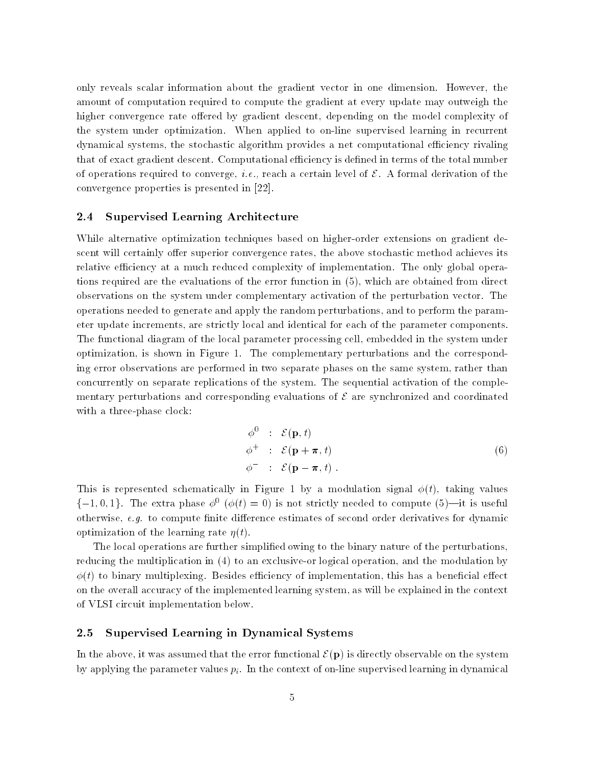only reveals scalar information about the gradient vector in one dimension. However, the amount of computation required to compute the gradient at every update may outweigh the higher convergence rate offered by gradient descent, depending on the model complexity of the system under optimization. When applied to on-line supervised learning in recurrent dynamical systems, the stochastic algorithm provides a net computational efficiency rivaling that of exact gradient descent. Computational efficiency is defined in terms of the total number of operations required to converge, *i.e.*, reach a certain level of  $\mathcal{E}$ . A formal derivation of the convergence properties is presented in [22].

### 2.4 Supervised Learning Architecture

While alternative optimization techniques based on higher-order extensions on gradient descent will certainly offer superior convergence rates, the above stochastic method achieves its relative efficiency at a much reduced complexity of implementation. The only global operations required are the evaluations of the error function in (5), which are obtained from direct observations on the system under complementary activation of the perturbation vector. The operations needed to generate and apply the random perturbations, and to perform the parameter update increments, are strictly local and identical for each of the parameter components. The functional diagram of the local parameter processing cell, embedded in the system under optimization, is shown in Figure 1. The complementary perturbations and the corresponding error observations are performed in two separate phases on the same system, rather than concurrently on separate replications of the system. The sequential activation of the complementary perturbations and corresponding evaluations of  $\mathcal E$  are synchronized and coordinated with a three-phase clock:

$$
\begin{array}{rcl}\n\phi^0 & : & \mathcal{E}(\mathbf{p}, t) \\
\phi^+ & : & \mathcal{E}(\mathbf{p} + \boldsymbol{\pi}, t) \\
\phi^- & : & \mathcal{E}(\mathbf{p} - \boldsymbol{\pi}, t)\n\end{array} \tag{6}
$$

This is represented schematically in Figure 1 by a modulation signal  $\phi(t)$ , taking values  $\{-1, 0, 1\}$ . The extra phase  $\phi^0$  ( $\phi(t) = 0$ ) is not strictly needed to compute (5)—it is useful otherwise,  $e.g.$  to compute finite difference estimates of second order derivatives for dynamic optimization of the learning rate  $\eta(t)$ .

The local operations are further simplied owing to the binary nature of the perturbations, reducing the multiplication in (4) to an exclusive-or logical operation, and the modulation by  $\phi(t)$  to binary multiplexing. Besides efficiency of implementation, this has a beneficial effect on the overall accuracy of the implemented learning system, as will be explained in the context of VLSI circuit implementation below.

### 2.5 Supervised Learning in Dynamical Systems

In the above, it was assumed that the error functional  $\mathcal{E}(\mathbf{p})$  is directly observable on the system by applying the parameter values  $p_i$ . In the context of on-line supervised learning in dynamical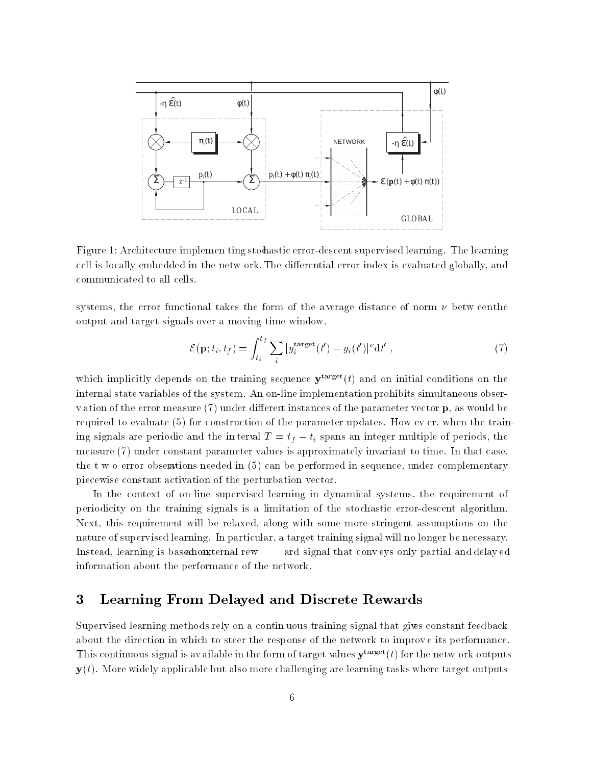

Figure 1: Architecture implemen ting stochastic error-descent supervised learning. The learning cell is locally embedded in the netw ork. The differential error index is evaluated globally, and communicated to all cells.

systems, the error functional takes the form of the average distance of norm  $\nu$  betw eenthe output and target signals over a moving time window,

$$
\mathcal{E}(\mathbf{p}; t_i, t_f) = \int_{t_i}^{t_f} \sum_i |y_i^{\text{target}}(t') - y_i(t')|^{\nu} dt', \qquad (7)
$$

which implicitly depends on the training sequence  $y^{target}(t)$  and on initial conditions on the internal state variables of the system. An on-line implementation prohibits simultaneous observation of the error measure  $(7)$  under different instances of the parameter vector  $\bf{p}$ , as would be required to evaluate (5) for construction of the parameter updates. How ev er, when the training signals are periodic and the interval  $T = t_f - t_i$  spans an integer multiple of periods, the measure (7) under constant parameter values is approximately invariant to time. In that case, the t w o error observations needed in  $(5)$  can be performed in sequence, under complementary piecewise constant activation of the perturbation vector.

In the context of on-line supervised learning in dynamical systems, the requirement of periodicity on the training signals is a limitation of the stochastic error-descent algorithm. Next, this requirement will be relaxed, along with some more stringent assumptions on the nature of supervised learning. In particular, a target training signal will no longer be necessary. Instead, learning is based on acternal rew ard signal that conveys only partial and delay ed information about the performance of the network.

### 3 Learning From Delayed and Discrete Rewards

Supervised learning methods rely on a contin uous training signal that gives constant feedback about the direction in which to steer the response of the network to improv e its performance. This continuous signal is available in the form of target values  $\mathbf{y}^{\text{target}}(t)$  for the netw ork outputs  $y(t)$ . More widely applicable but also more challenging are learning tasks where target outputs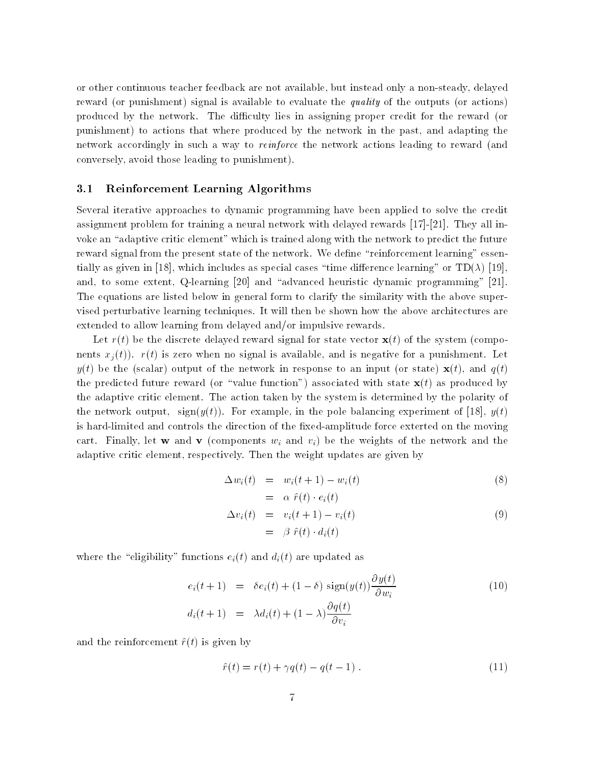or other continuous teacher feedback are not available, but instead only a non-steady, delayed reward (or punishment) signal is available to evaluate the *quality* of the outputs (or actions) produced by the network. The difficulty lies in assigning proper credit for the reward (or punishment) to actions that where produced by the network in the past, and adapting the network accordingly in such a way to *reinforce* the network actions leading to reward (and conversely, avoid those leading to punishment).

#### 3.1 Reinforcement Learning Algorithms

Several iterative approaches to dynamic programming have been applied to solve the credit assignment problem for training a neural network with delayed rewards [17]-[21]. They all invoke an "adaptive critic element" which is trained along with the network to predict the future reward signal from the present state of the network. We define "reinforcement learning" essentially as given in [18], which includes as special cases "time difference learning" or  $TD(\lambda)$  [19], and, to some extent, Q-learning  $[20]$  and "advanced heuristic dynamic programming"  $[21]$ . The equations are listed below in general form to clarify the similarity with the above supervised perturbative learning techniques. It will then be shown how the above architectures are extended to allow learning from delayed and/or impulsive rewards.

Let  $r(t)$  be the discrete delayed reward signal for state vector  $\mathbf{x}(t)$  of the system (components  $x_i(t)$ ).  $r(t)$  is zero when no signal is available, and is negative for a punishment. Let  $y(t)$  be the (scalar) output of the network in response to an input (or state)  $\mathbf{x}(t)$ , and  $q(t)$ the predicted future reward (or "value function") associated with state  $\mathbf{x}(t)$  as produced by the adaptive critic element. The action taken by the system is determined by the polarity of the network output,  $sign(y(t))$ . For example, in the pole balancing experiment of [18],  $y(t)$ is hard-limited and controls the direction of the fixed-amplitude force exterted on the moving cart. Finally, let **w** and **v** (components  $w_i$  and  $v_i$ ) be the weights of the network and the adaptive critic element, respectively. Then the weight updates are given by

$$
\Delta w_i(t) = w_i(t+1) - w_i(t) \tag{8}
$$

$$
= \alpha \hat{r}(t) \cdot e_i(t)
$$
  
\n
$$
\Delta v_i(t) = v_i(t+1) - v_i(t)
$$
\n(9)

$$
= \beta \hat{r}(t) \cdot d_i(t)
$$

where the "eligibility" functions  $e_i(t)$  and  $d_i(t)$  are updated as

$$
e_i(t+1) = \delta e_i(t) + (1-\delta) \operatorname{sign}(y(t)) \frac{\partial y(t)}{\partial w_i}
$$
  
\n
$$
d_i(t+1) = \lambda d_i(t) + (1-\lambda) \frac{\partial q(t)}{\partial v_i}
$$
\n(10)

and the reinforcement  $\hat{r}(t)$  is given by

$$
\hat{r}(t) = r(t) + \gamma q(t) - q(t - 1) \tag{11}
$$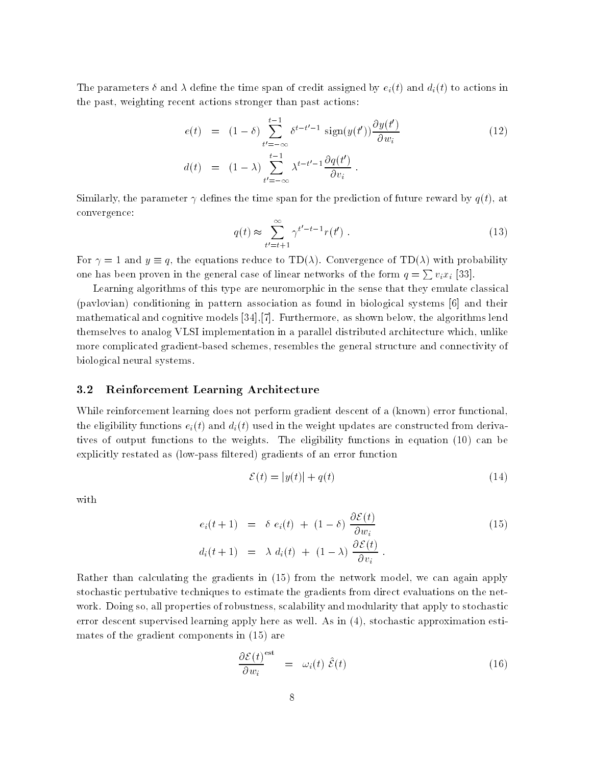The parameters  $\delta$  and  $\lambda$  define the time span of credit assigned by  $e_i(t)$  and  $d_i(t)$  to actions in the past, weighting recent actions stronger than past actions:

$$
e(t) = (1 - \delta) \sum_{t'= -\infty}^{t-1} \delta^{t-t'-1} \operatorname{sign}(y(t')) \frac{\partial y(t')}{\partial w_i}
$$
  

$$
d(t) = (1 - \lambda) \sum_{t'=-\infty}^{t-1} \lambda^{t-t'-1} \frac{\partial q(t')}{\partial v_i}.
$$
 (12)

Similarly, the parameter  $\gamma$  defines the time span for the prediction of future reward by  $q(t)$ , at convergence:

$$
q(t) \approx \sum_{t'=t+1}^{\infty} \gamma^{t'-t-1} r(t'). \qquad (13)
$$

For  $\gamma = 1$  and  $y \equiv q$ , the equations reduce to TD( $\lambda$ ). Convergence of TD( $\lambda$ ) with probability one has been proven in the general case of linear networks of the form  $q = \sum v_i x_i$  [33].

Learning algorithms of this type are neuromorphic in the sense that they emulate classical (pavlovian) conditioning in pattern association as found in biological systems [6] and their mathematical and cognitive models [34],[7]. Furthermore, as shown below, the algorithms lend themselves to analog VLSI implementation in a parallel distributed architecture which, unlike more complicated gradient-based schemes, resembles the general structure and connectivity of biological neural systems.

#### 3.2 Reinforcement Learning Architecture

While reinforcement learning does not perform gradient descent of a (known) error functional, the eligibility functions  $e_i(t)$  and  $d_i(t)$  used in the weight updates are constructed from derivatives of output functions to the weights. The eligibility functions in equation (10) can be explicitly restated as (low-pass ltered) gradients of an error function

$$
\mathcal{E}(t) = |y(t)| + q(t) \tag{14}
$$

with

$$
e_i(t+1) = \delta e_i(t) + (1-\delta) \frac{\partial \mathcal{E}(t)}{\partial w_i}
$$
  
\n
$$
d_i(t+1) = \lambda d_i(t) + (1-\lambda) \frac{\partial \mathcal{E}(t)}{\partial v_i}.
$$
\n(15)

Rather than calculating the gradients in (15) from the network model, we can again apply stochastic pertubative techniques to estimate the gradients from direct evaluations on the network. Doing so, all properties of robustness, scalability and modularity that apply to stochastic error descent supervised learning apply here as well. As in (4), stochastic approximation estimates of the gradient components in (15) are

$$
\frac{\partial \mathcal{E}(t)}{\partial w_i}^{\text{est}} = \omega_i(t) \hat{\mathcal{E}}(t) \tag{16}
$$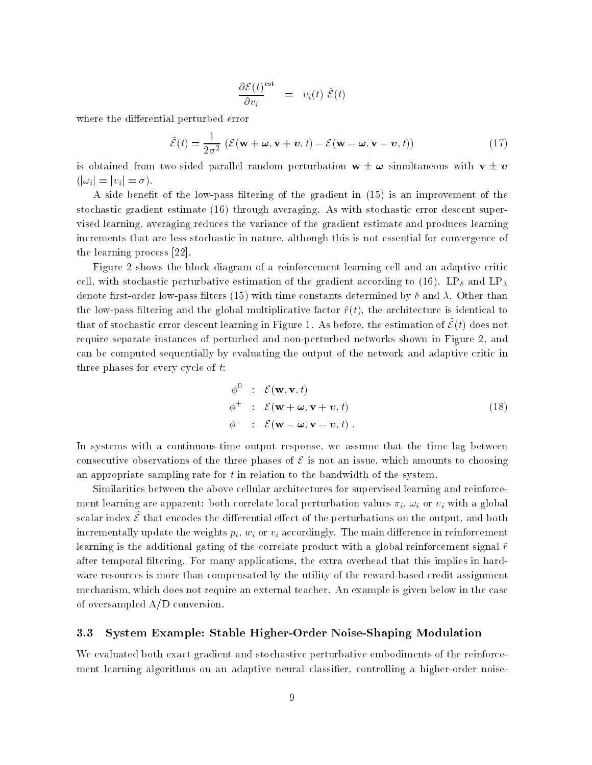$$
\frac{\partial \mathcal{E}(t)}{\partial v_i}^{\text{est}} = v_i(t) \hat{\mathcal{E}}(t)
$$

where the differential perturbed error

$$
\hat{\mathcal{E}}(t) = \frac{1}{2\sigma^2} \left( \mathcal{E}(\mathbf{w} + \boldsymbol{\omega}, \mathbf{v} + \mathbf{v}, t) - \mathcal{E}(\mathbf{w} - \boldsymbol{\omega}, \mathbf{v} - \mathbf{v}, t) \right)
$$
(17)

is obtained from two-sided parallel random perturbation  $\mathbf{w} \pm \boldsymbol{\omega}$  simultaneous with  $\mathbf{v} \pm \boldsymbol{v}$  $(|\omega_i| = |v_i| = \sigma).$ 

A side benefit of the low-pass filtering of the gradient in (15) is an improvement of the stochastic gradient estimate (16) through averaging. As with stochastic error descent supervised learning, averaging reduces the variance of the gradient estimate and produces learning increments that are less stochastic in nature, although this is not essential for convergence of the learning process [22].

Figure 2 shows the block diagram of a reinforcement learning cell and an adaptive critic cell, with stochastic perturbative estimation of the gradient according to (16). LP<sub>δ</sub> and LP<sub> $\lambda$ </sub> denote first-order low-pass filters (15) with time constants determined by  $\delta$  and  $\lambda$ . Other than the low-pass filtering and the global multiplicative factor  $\hat{r}(t)$ , the architecture is identical to that of stochastic error descent learning in Figure 1. As before, the estimation of  $\mathcal{E}(t)$  does not require separate instances of perturbed and non-perturbed networks shown in Figure 2, and can be computed sequentially by evaluating the output of the network and adaptive critic in three phases for every cycle of  $t$ :

$$
\begin{array}{rcl}\n\phi^0 & : & \mathcal{E}(\mathbf{w}, \mathbf{v}, t) \\
\phi^+ & : & \mathcal{E}(\mathbf{w} + \boldsymbol{\omega}, \mathbf{v} + \mathbf{v}, t) \\
\phi^- & : & \mathcal{E}(\mathbf{w} - \boldsymbol{\omega}, \mathbf{v} - \mathbf{v}, t)\n\end{array} \tag{18}
$$

In systems with a continuous-time output response, we assume that the time lag between consecutive observations of the three phases of  $\mathcal E$  is not an issue, which amounts to choosing an appropriate sampling rate for <sup>t</sup> in relation to the bandwidth of the system.

Similarities between the above cellular architectures for supervised learning and reinforcement learning are apparent: both correlate local perturbation values  $\pi_i$ ,  $\omega_i$  or  $v_i$  with a global scalar index  $\mathcal E$  that encodes the differential effect of the perturbations on the output, and both incrementally update the weights  $p_i$ ,  $w_i$  or  $v_i$  accordingly. The main difference in reinforcement learning is the additional gating of the correlate product with a global reinforcement signal  $\hat{r}$ after temporal filtering. For many applications, the extra overhead that this implies in hardware resources is more than compensated by the utility of the reward-based credit assignment mechanism, which does not require an external teacher. An example is given below in the case of oversampled A/D conversion.

#### 3.3 System Example: Stable Higher-Order Noise-Shaping Modulation

We evaluated both exact gradient and stochastive perturbative embodiments of the reinforcement learning algorithms on an adaptive neural classifier, controlling a higher-order noise-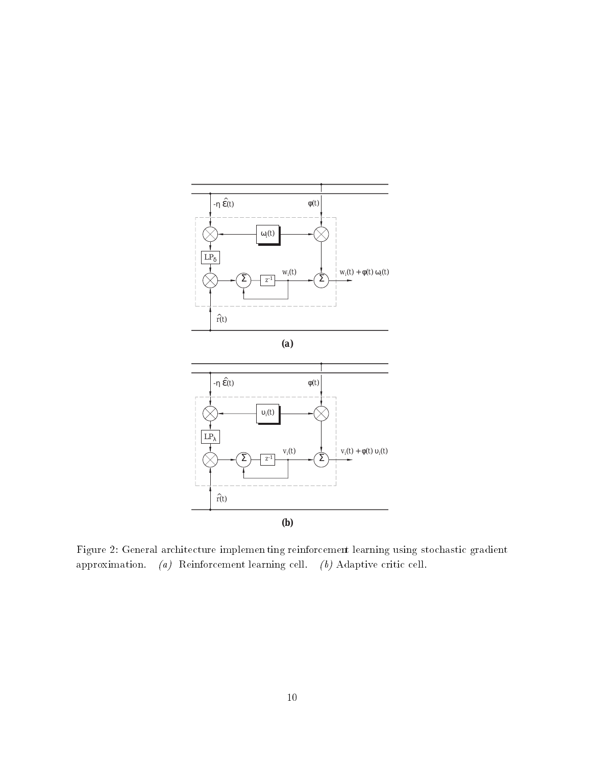

Figure 2: General architecture implemen ting reinforcement learning using stochastic gradient approximation. (a) Reinforcement learning cell. (b) Adaptive critic cell.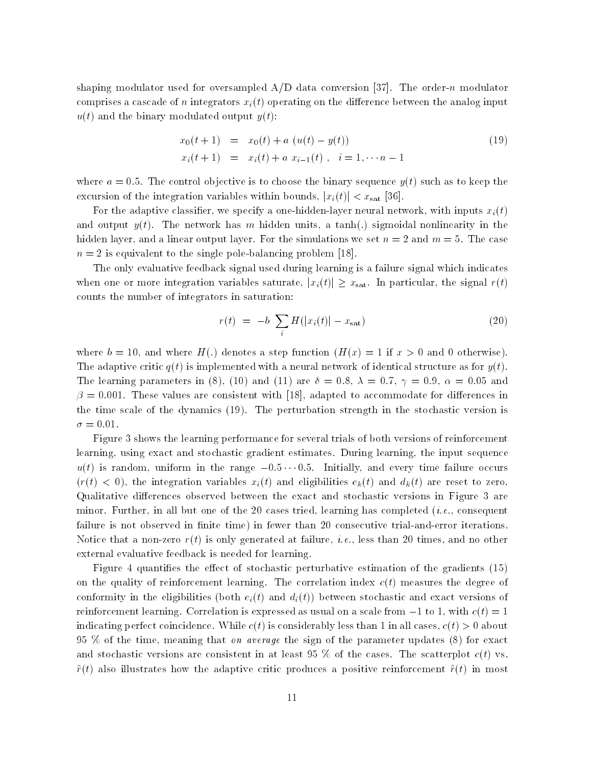shaping modulator used for oversampled  $A/D$  data conversion [37]. The order-n modulator comprises a cascade of n integrators  $x_i(t)$  operating on the difference between the analog input  $u(t)$  and the binary modulated output  $y(t)$ :

$$
x_0(t+1) = x_0(t) + a (u(t) - y(t))
$$
  
\n
$$
x_i(t+1) = x_i(t) + a x_{i-1}(t), \quad i = 1, \dots, n-1
$$
\n(19)

where  $a = 0.5$ . The control objective is to choose the binary sequence  $y(t)$  such as to keep the excursion of the integration variables within bounds,  $|x_i(t)| < x_{\text{sat}}$  [36].

For the adaptive classifier, we specify a one-hidden-layer neural network, with inputs  $x_i(t)$ and output  $y(t)$ . The network has m hidden units, a tanh(.) sigmoidal nonlinearity in the hidden layer, and a linear output layer. For the simulations we set  $n = 2$  and  $m = 5$ . The case  $n = 2$  is equivalent to the single pole-balancing problem [18].

The only evaluative feedback signal used during learning is a failure signal which indicates when one or more integration variables saturate,  $|x_i(t)| \geq x_{\text{sat}}$ . In particular, the signal  $r(t)$ counts the number of integrators in saturation:

$$
r(t) = -b \sum_{i} H(|x_i(t)| - x_{\text{sat}})
$$
\n(20)

where  $b = 10$ , and where  $H(.)$  denotes a step function  $(H(x)) = 1$  if  $x > 0$  and 0 otherwise). The adaptive critic  $q(t)$  is implemented with a neural network of identical structure as for  $y(t)$ . The learning parameters in (8), (10) and (11) are  $\delta = 0.8$ ,  $\lambda = 0.7$ ,  $\gamma = 0.9$ ,  $\alpha = 0.05$  and  $\beta = 0.001$ . These values are consistent with [18], adapted to accommodate for differences in the time scale of the dynamics  $(19)$ . The perturbation strength in the stochastic version is  $\sigma = 0.01$ .

Figure 3 shows the learning performance for several trials of both versions of reinforcement learning, using exact and stochastic gradient estimates. During learning, the input sequence  $u(t)$  is random, uniform in the range  $-0.5 \cdot \cdot \cdot 0.5$ . Initially, and every time failure occurs  $(r(t) < 0)$ , the integration variables  $x_i(t)$  and eligibilities  $e_k(t)$  and  $d_k(t)$  are reset to zero. Qualitative differences observed between the exact and stochastic versions in Figure 3 are minor. Further, in all but one of the 20 cases tried, learning has completed  $(i.e.,$  consequent failure is not observed in finite time) in fewer than 20 consecutive trial-and-error iterations. Notice that a non-zero  $r(t)$  is only generated at failure, *i.e.*, less than 20 times, and no other external evaluative feedback is needed for learning.

Figure 4 quantifies the effect of stochastic perturbative estimation of the gradients (15) on the quality of reinforcement learning. The correlation index  $c(t)$  measures the degree of conformity in the eligibilities (both  $e_i(t)$  and  $d_i(t)$ ) between stochastic and exact versions of reinforcement learning. Correlation is expressed as usual on a scale from  $-1$  to 1, with  $c(t)=1$ indicating perfect coincidence. While  $c(t)$  is considerably less than 1 in all cases,  $c(t) > 0$  about 95 % of the time, meaning that *on average* the sign of the parameter updates  $(8)$  for exact and stochastic versions are consistent in at least 95 % of the cases. The scatterplot  $c(t)$  vs.  $\hat{r}(t)$  also illustrates how the adaptive critic produces a positive reinforcement  $\hat{r}(t)$  in most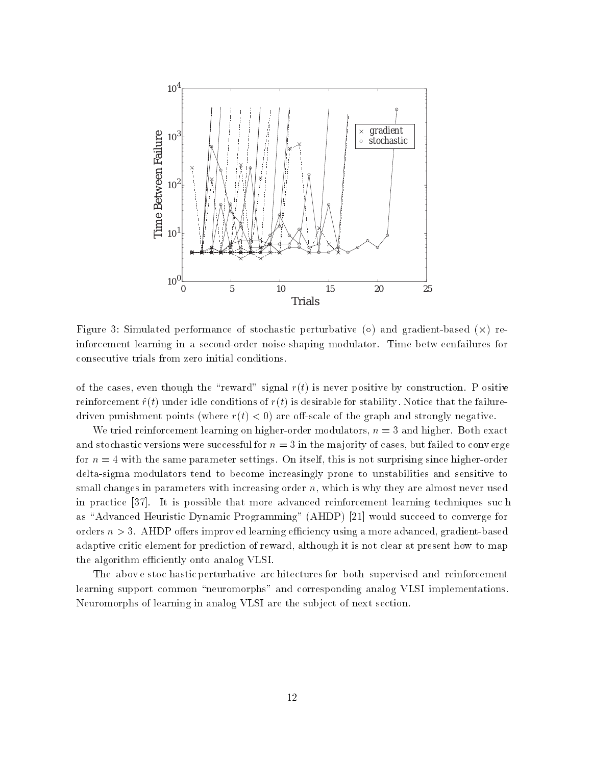

Figure 3: Simulated performance of stochastic perturbative (o) and gradient-based (X) reinforcement learning in a second-order noise-shaping modulator. Time betw een failures for consecutive trials from zero initial conditions.

of the cases, even though the "reward" signal  $r(t)$  is never positive by construction. P ositive reinforcement  $\hat{r}(t)$  under idle conditions of  $r(t)$  is desirable for stability. Notice that the failuredriven punishment points (where  $r(t) < 0$ ) are off-scale of the graph and strongly negative.

We tried reinforcement learning on higher-order modulators,  $n = 3$  and higher. Both exact and stochastic versions were successful for  $n = 3$  in the majority of cases, but failed to converge for  $n = 4$  with the same parameter settings. On itself, this is not surprising since higher-order delta-sigma modulators tend to become increasingly prone to unstabilities and sensitive to small changes in parameters with increasing order  $n$ , which is why they are almost never used in practice [37]. It is possible that more advanced reinforcement learning techniques suc h as "Advanced Heuristic Dynamic Programming" (AHDP) [21] would succeed to converge for orders  $n > 3$ . AHDP offers improved learning efficiency using a more advanced, gradient-based adaptive critic element for prediction of reward, although it is not clear at present how to map the algorithm efficiently onto analog VLSI.

The above stoc hastic perturbative arc hitectures for both supervised and reinforcement learning support common "neuromorphs" and corresponding analog VLSI implementations. Neuromorphs of learning in analog VLSI are the sub ject of next section.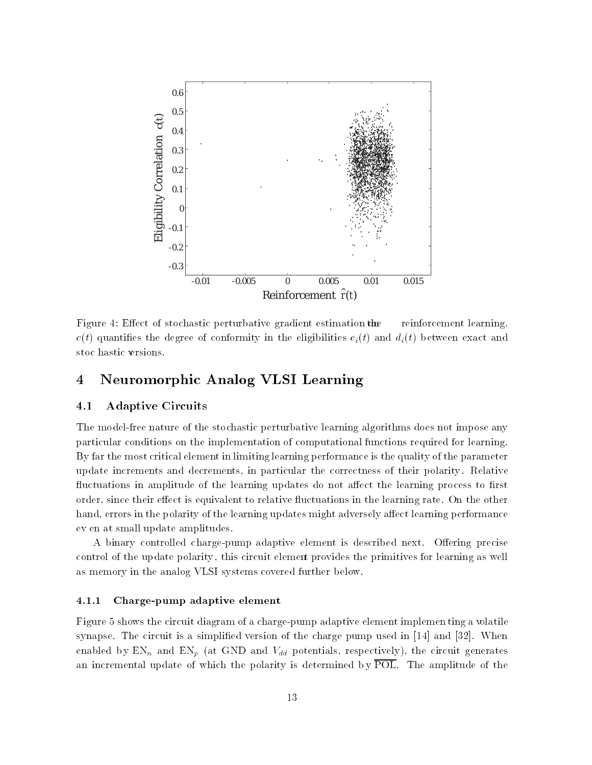

Figure 4: Effect of stochastic perturbative gradient estimation the reinforcement learning.  $c(t)$  quantifies the degree of conformity in the eligibilities  $e_i(t)$  and  $d_i(t)$  between exact and stoc hastic versions.

### 4 Neuromorphic Analog VLSI Learning

#### 4.1 Adaptive Circuits

The model-free nature of the stochastic perturbative learning algorithms does not impose any particular conditions on the implementation of computational functions required for learning. By far the most critical element in limiting learning performance is the quality of the parameter update increments and decrements, in particular the correctness of their polarity . Relative fluctuations in amplitude of the learning updates do not affect the learning process to first order, since their effect is equivalent to relative fluctuations in the learning rate. On the other hand, errors in the polarity of the learning updates might adversely affect learning performance ev en at small update amplitudes.

A binary controlled charge-pump adaptive element is described next. Offering precise control of the update polarity , this circuit element provides the primitives for learning as well as memory in the analog VLSI systems covered further below.

#### 4.1.1 Charge-pump adaptive element

Figure 5 shows the circuit diagram of a charge-pump adaptive element implemen ting a volatile synapse. The circuit is a simplified version of the charge pump used in  $[14]$  and  $[32]$ . When enabled by  $EN_n$  and  $EN_p$  (at GND and  $V_{dd}$  potentials, respectively), the circuit generates an incremental update of which the polarity is determined by  $\overline{\text{POL}}$ . The amplitude of the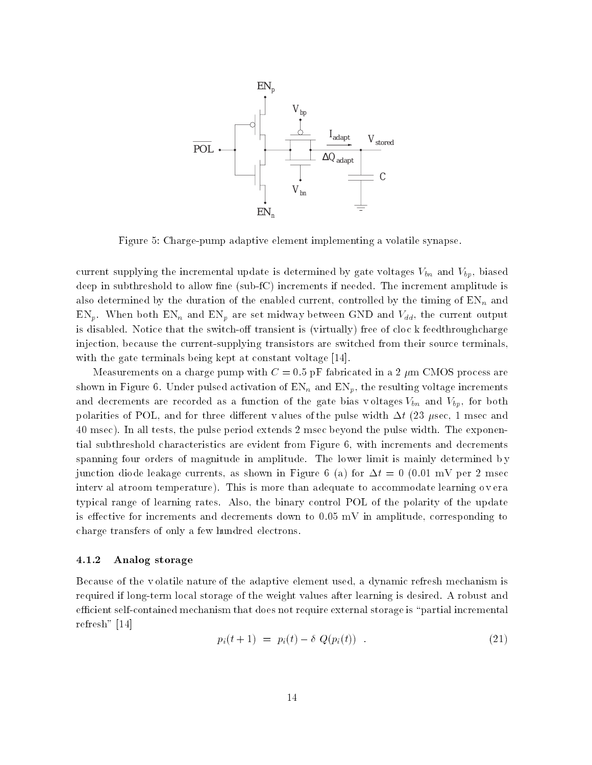

Figure 5: Charge-pump adaptive element implementing a volatile synapse.

current supplying the incremental update is determined by gate voltages  $V_{bn}$  and  $V_{bp}$ , biased deep in subthreshold to allow fine (sub-fC) increments if needed. The increment amplitude is also determined by the duration of the enabled current, controlled by the timing of  $EN_n$  and  $EN_p$ . When both  $EN_n$  and  $EN_p$  are set midway between GND and  $V_{dd}$ , the current output is disabled. Notice that the switch-off transient is (virtually) free of cloc k feedthroughcharge injection, because the current-supplying transistors are switched from their source terminals, with the gate terminals being kept at constant voltage [14].

Measurements on a charge pump with  $C = 0.5$  pF fabricated in a 2  $\mu$ m CMOS process are shown in Figure 6. Under pulsed activation of  $EN_n$  and  $EN_p$ , the resulting voltage increments and decrements are recorded as a function of the gate bias voltages  $V_{bn}$  and  $V_{bp}$ , for both polarities of POL, and for three different values of the pulse width  $\Delta t$  (23  $\mu$ sec, 1 msec and 40 msec). In all tests, the pulse period extends 2 msec beyond the pulse width. The exponential subthreshold characteristics are evident from Figure 6, with increments and decrements spanning four orders of magnitude in amplitude. The lower limit is mainly determined b y junction diode leakage currents, as shown in Figure 6 (a) for  $\Delta t = 0$  (0.01 mV per 2 msec interv al atroom temperature). This is more than adequate to accommodate learning overa typical range of learning rates. Also, the binary control POL of the polarity of the update is effective for increments and decrements down to  $0.05$  mV in amplitude, corresponding to charge transfers of only a few hundred electrons.

#### 4.1.2 Analog storage

Because of the v olatile nature of the adaptive element used, a dynamic refresh mechanism is required if long-term local storage of the weight values after learning is desired. A robust and efficient self-contained mechanism that does not require external storage is "partial incremental refresh" [14]

$$
p_i(t+1) = p_i(t) - \delta \ Q(p_i(t)) \tag{21}
$$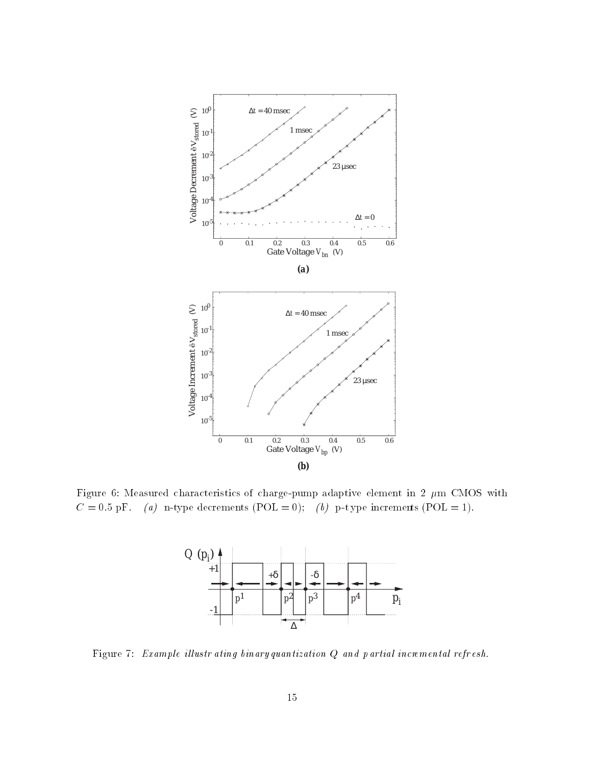

Figure 6: Measured characteristics of charge-pump adaptive element in 2  $\mu$ m CMOS with  $C = 0.5$  pF. (a) n-type decrements (POL = 0); (b) p-type increments (POL = 1).



Figure 7: Example illustrating binary quantization  $Q$  and partial incremental refresh.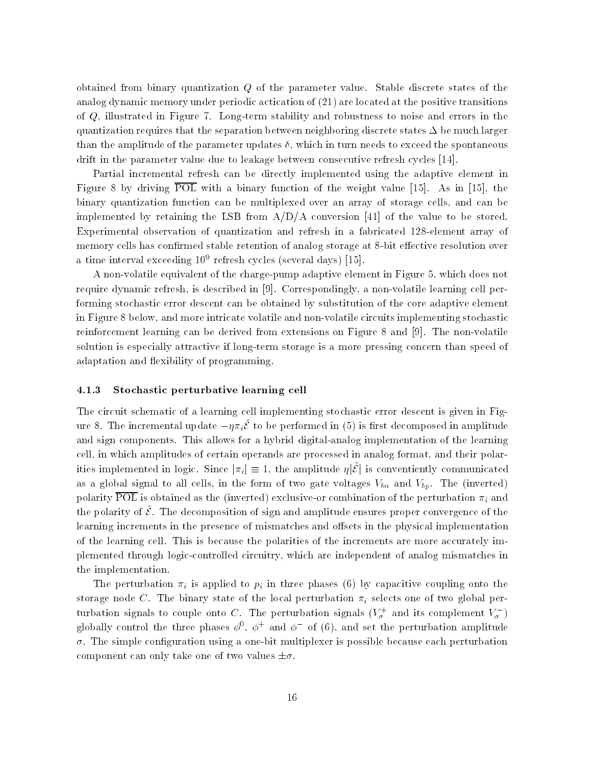obtained from binary quantization <sup>Q</sup> of the parameter value. Stable discrete states of the analog dynamic memory under periodic actication of (21) are located at the positive transitions of Q, illustrated in Figure 7.Long-term stability and robustness to noise and errors in the quantization requires that the separation between neighboring discrete states  $\Delta$  be much larger than the amplitude of the parameter updates  $\delta$ , which in turn needs to exceed the spontaneous drift in the parameter value due to leakage between consecutive refresh cycles [14].

Partial incremental refresh can be directly implemented using the adaptive element in Figure 8 by driving  $\overline{POL}$  with a binary function of the weight value [15]. As in [15], the binary quantization function can be multiplexed over an array of storage cells, and can be implemented by retaining the LSB from A/D/A conversion [41] of the value to be stored. Experimental observation of quantization and refresh in a fabricated 128-element array of memory cells has confirmed stable retention of analog storage at 8-bit effective resolution over a time interval exceeding T0° refresh cycles (several days) [15].

A non-volatile equivalent of the charge-pump adaptive element in Figure 5, which does not require dynamic refresh, is described in [9]. Correspondingly, a non-volatile learning cell performing stochastic error descent can be obtained by substitution of the core adaptive element in Figure 8 below, and more intricate volatile and non-volatile circuits implementing stochastic reinforcement learning can be derived from extensions on Figure 8 and [9]. The non-volatile solution is especially attractive if long-term storage is a more pressing concern than speed of adaptation and flexibility of programming.

#### 4.1.3 Stochastic perturbative learning cell

The circuit schematic of a learning cell implementing stochastic error descent is given in Figure 8. The incremental update  $-\eta \pi_i \hat{\mathcal{E}}$  to be performed in (5) is first decomposed in amplitude and sign components. This allows for a hybrid digital-analog implementation of the learning cell, in which amplitudes of certain operands are processed in analog format, and their polarities implemented in logic. Since  $|\pi_i| \equiv 1$ , the amplitude  $\eta |\mathcal{E}|$  is conventiently communicated as a global signal to all cells, in the form of two gate voltages  $V_{bn}$  and  $V_{bp}$ . The (inverted) polarity POL is obtained as the (inverted) exclusive-or combination of the perturbation  $\pi_i$  and the polarity of  $\mathcal{E}$ . The decomposition of sign and amplitude ensures proper convergence of the learning increments in the presence of mismatches and offsets in the physical implementation of the learning cell. This is because the polarities of the increments are more accurately implemented through logic-controlled circuitry, which are independent of analog mismatches in the implementation.

The perturbation  $\pi_i$  is applied to  $p_i$  in three phases (6) by capacitive coupling onto the storage node C. The binary state of the local perturbation  $\pi_i$  selects one of two global perturbation signals to couple onto C – The perturbation signals ( $V_\sigma{}^+$  and its complement  $V_\sigma{}^-$  ) globally control the three phases  $\varphi^*,$   $\varphi^*$  and  $\varphi^-$  of (6), and set the perturbation amplitude  $\sigma$ . The simple configuration using a one-bit multiplexer is possible because each perturbation component can only take one of two values  $\pm \sigma$ .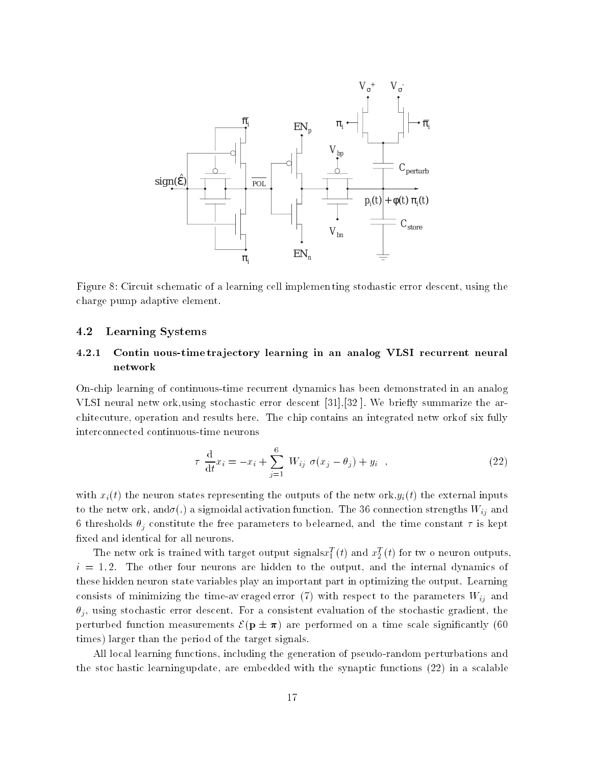

Figure 8: Circuit schematic of a learning cell implementing stochastic error descent, using the charge pump adaptive element.

#### 4.2 Learning Systems

### 4.2.1 Contin uous-time tra jectory learning in an analog VLSI recurrent neural network

On-chip learning of continuous-time recurrent dynamics has been demonstrated in an analog VLSI neural netw ork, using stochastic error descent [31], [32]. We briefly summarize the architecuture, operation and results here. The chip contains an integrated netw orkof six fully interconnected continuous-time neurons

$$
\tau \frac{d}{dt} x_i = -x_i + \sum_{j=1}^{6} W_{ij} \sigma(x_j - \theta_j) + y_i , \qquad (22)
$$

with  $x_i(t)$  the neuron states representing the outputs of the netw ork,  $y_i(t)$  the external inputs to the netw ork, and  $\sigma(.)$  a sigmoidal activation function. The 36 connection strengths  $W_{ij}$  and 6 thresholds  $\theta_j$  constitute the free parameters to belearned, and the time constant  $\tau$  is kept xed and identical for all neurons.

The netw ork is trained with target output signals  $x_1^+(t)$  and  $x_2^-(t)$  for two neuron outputs,  $i = 1, 2$ . The other four neurons are hidden to the output, and the internal dynamics of these hidden neuron state variables play an important part in optimizing the output. Learning consists of minimizing the time-averaged error (7) with respect to the parameters  $W_{ij}$  and  $\theta_i$ , using stochastic error descent. For a consistent evaluation of the stochastic gradient, the perturbed function measurements  $\mathcal{E}(\mathbf{p} \pm \pi)$  are performed on a time scale significantly (60 times) larger than the period of the target signals.

All local learning functions, including the generation of pseudo-random perturbations and the stoc hastic learningupdate, are embedded with the synaptic functions (22) in a scalable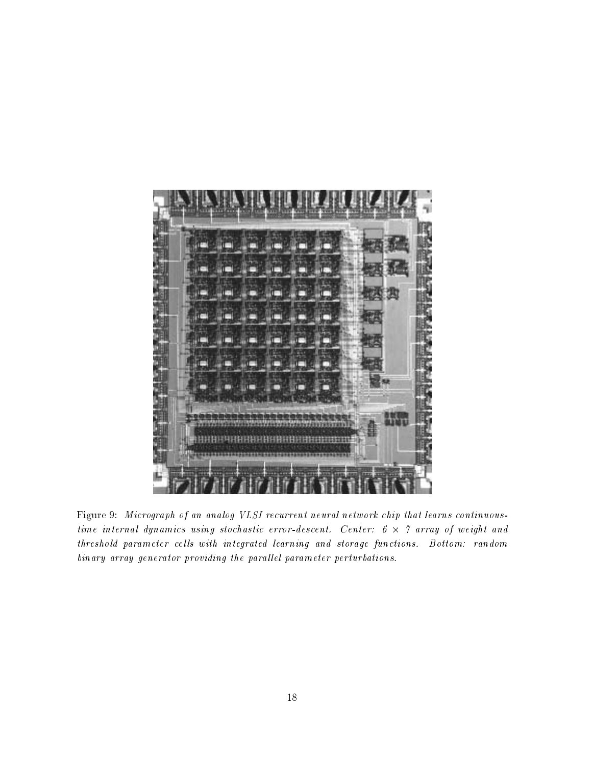

Figure 9: Micrograph of an analog VLSI recurrent neural network chip that learns continuoustime internal dynamics using stochastic error-descent. Center: b  $\times$  7 array of weight and threshold parameter cells with integrated learning and storage functions. Bottom: random binary array generator providing the parallel parameter perturbations.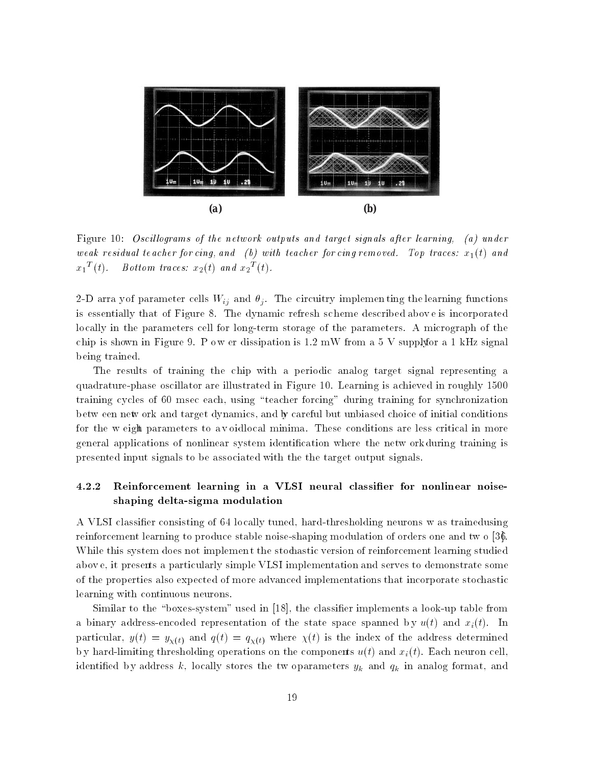

Figure 10: Oscillograms of the network outputs and target signals after learning, (a) under weak residual teacher for cing, and (b) with teacher for cing removed. Top traces:  $x_1(t)$  and  $x_1$ <sup>-</sup>(*t*).  $D$  $(t)$ . Bottom traces:  $x_2(t)$  and  $x_2^{-}(t)$ .

2-D arra yof parameter cells  $W_{ij}$  and  $\theta_j$ . The circuitry implementing the learning functions is essentially that of Figure 8. The dynamic refresh scheme described above is incorporated locally in the parameters cell for long-term storage of the parameters. A micrograph of the chip is shown in Figure 9. P ow er dissipation is  $1.2 \text{ mW}$  from a 5 V supply for a 1 kHz signal being trained.

The results of training the chip with a periodic analog target signal representing a quadrature-phase oscillator are illustrated in Figure 10. Learning is achieved in roughly 1500 training cycles of 60 msec each, using \teacher forcing" during training for synchronization betw een new ork and target dynamics, and by careful but unbiased choice of initial conditions for the w eight parameters to a voidlocal minima. These conditions are less critical in more general applications of nonlinear system identication where the netw orkduring training is presented input signals to be associated with the the target output signals.

### 4.2.2 Reinforcement learning in a VLSI neural classier for nonlinear noiseshaping delta-sigma modulation

A VLSI classier consisting of 64 locally tuned, hard-thresholding neurons w as trainedusing reinforcement learning to produce stable noise-shaping modulation of orders one and tw o [36]. While this system does not implemen t the stochastic version of reinforcement learning studied abov e, it presents a particularly simple VLSI implementation and serves to demonstrate some of the properties also expected of more advanced implementations that incorporate stochastic learning with continuous neurons.

Similar to the "boxes-system" used in [18], the classifier implements a look-up table from a binary address-encoded representation of the state space spanned by  $u(t)$  and  $x_i(t)$ . In particular,  $y(t) = y_{\chi(t)}$  and  $q(t) = q_{\chi(t)}$  where  $\chi(t)$  is the index of the address determined by hard-limiting thresholding operations on the components  $u(t)$  and  $x_i(t)$ . Each neuron cell, identified by address k, locally stores the two parameters  $y_k$  and  $q_k$  in analog format, and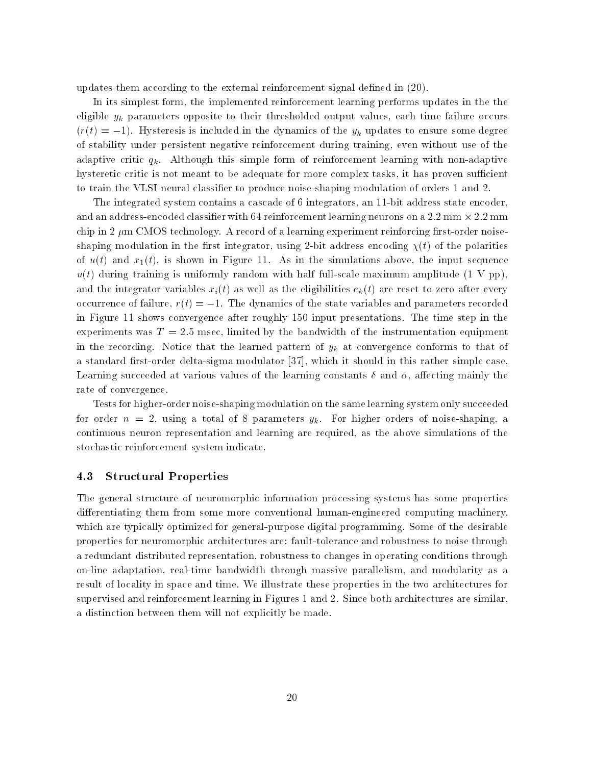updates them according to the external reinforcement signal defined in  $(20)$ .

In its simplest form, the implemented reinforcement learning performs updates in the the eligible  $y_k$  parameters opposite to their thresholded output values, each time failure occurs  $(r(t) = -1)$ . Hysteresis is included in the dynamics of the  $y_k$  updates to ensure some degree of stability under persistent negative reinforcement during training, even without use of the adaptive critic  $q_k$ . Although this simple form of reinforcement learning with non-adaptive hysteretic critic is not meant to be adequate for more complex tasks, it has proven sufficient to train the VLSI neural classier to produce noise-shaping modulation of orders 1 and 2.

The integrated system contains a cascade of 6 integrators, an 11-bit address state encoder, and an address-encoded classiner with 64 reinforcement learning neurons on a 2.2 mm  $\times$  2.2 mm  $\,$ chip in 2  $\mu$ m CMOS technology. A record of a learning experiment reinforcing first-order noiseshaping modulation in the first integrator, using 2-bit address encoding  $\chi(t)$  of the polarities of  $u(t)$  and  $x_1(t)$ , is shown in Figure 11. As in the simulations above, the input sequence  $u(t)$  during training is uniformly random with half full-scale maximum amplitude (1 V pp), and the integrator variables  $x_i(t)$  as well as the eligibilities  $e_k(t)$  are reset to zero after every occurrence of failure,  $r(t) = -1$ . The dynamics of the state variables and parameters recorded in Figure 11 shows convergence after roughly 150 input presentations. The time step in the experiments was  $T = 2.5$  msec, limited by the bandwidth of the instrumentation equipment in the recording. Notice that the learned pattern of  $y_k$  at convergence conforms to that of a standard first-order delta-sigma modulator [37], which it should in this rather simple case. Learning succeeded at various values of the learning constants  $\delta$  and  $\alpha$ , affecting mainly the rate of convergence.

Tests for higher-order noise-shaping modulation on the same learning system only succeeded for order  $n = 2$ , using a total of 8 parameters  $y_k$ . For higher orders of noise-shaping, a continuous neuron representation and learning are required, as the above simulations of the stochastic reinforcement system indicate.

#### 4.3 Structural Properties

The general structure of neuromorphic information processing systems has some properties differentiating them from some more conventional human-engineered computing machinery, which are typically optimized for general-purpose digital programming. Some of the desirable properties for neuromorphic architectures are: fault-tolerance and robustness to noise through a redundant distributed representation, robustness to changes in operating conditions through on-line adaptation, real-time bandwidth through massive parallelism, and modularity as a result of locality in space and time. We illustrate these properties in the two architectures for supervised and reinforcement learning in Figures 1 and 2. Since both architectures are similar, a distinction between them will not explicitly be made.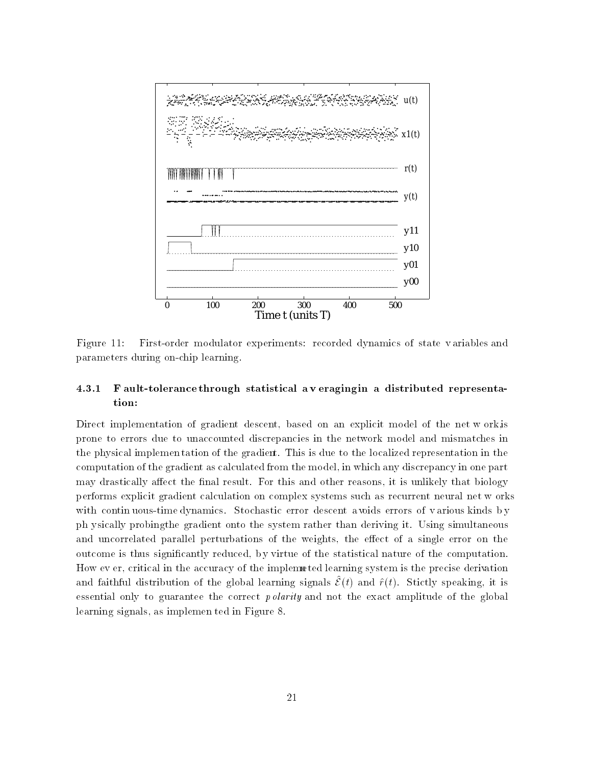

Figure 11: First-order modulator experiments: recorded dynamics of state variables and parameters during on-chip learning.

### 4.3.1 F ault-tolerance through statistical a v eragingin a distributed representation:

Direct implementation of gradient descent, based on an explicit model of the net w ork,is prone to errors due to unaccounted discrepancies in the network model and mismatches in the physical implemen tation of the gradient. This is due to the localized representation in the computation of the gradient as calculated from the model, in which any discrepancy in one part may drastically affect the final result. For this and other reasons, it is unlikely that biology performs explicit gradient calculation on complex systems such as recurrent neural net w orks with continuous-time dynamics. Stochastic error descent a voids errors of various kinds by ph ysically probingthe gradient onto the system rather than deriving it. Using simultaneous and uncorrelated parallel perturbations of the weights, the effect of a single error on the outcome is thus significantly reduced, by virtue of the statistical nature of the computation. How ev er, critical in the accuracy of the implemeted learning system is the precise derivation and faithful distribution of the global learning signals  $\mathcal{E}(t)$  and  $\hat{r}(t)$ . Stictly speaking, it is essential only to guarantee the correct *polarity* and not the exact amplitude of the global learning signals, as implemen ted in Figure 8.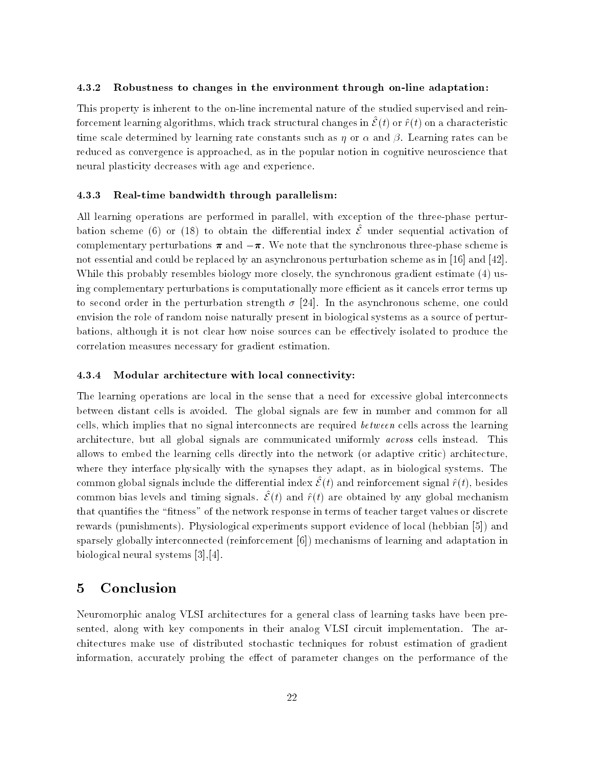#### 4.3.2 Robustness to changes in the environment through on-line adaptation:

This property is inherent to the on-line incremental nature of the studied supervised and reinforcement learning algorithms, which track structural changes in  $\hat{\mathcal{E}}(t)$  or  $\hat{r}(t)$  on a characteristic time scale determined by learning rate constants such as  $\eta$  or  $\alpha$  and  $\beta$ . Learning rates can be reduced as convergence is approached, as in the popular notion in cognitive neuroscience that neural plasticity decreases with age and experience.

#### 4.3.3 Real-time bandwidth through parallelism:

All learning operations are performed in parallel, with exception of the three-phase perturbation scheme (6) or (18) to obtain the differential index  $\hat{\mathcal{E}}$  under sequential activation of complementary perturbations  $\pi$  and  $-\pi$ . We note that the synchronous three-phase scheme is not essential and could be replaced by an asynchronous perturbation scheme as in [16] and [42]. While this probably resembles biology more closely, the synchronous gradient estimate (4) using complementary perturbations is computationally more efficient as it cancels error terms up to second order in the perturbation strength  $\sigma$  [24]. In the asynchronous scheme, one could envision the role of random noise naturally present in biological systems as a source of perturbations, although it is not clear how noise sources can be effectively isolated to produce the correlation measures necessary for gradient estimation.

#### 4.3.4 Modular architecture with local connectivity:

The learning operations are local in the sense that a need for excessive global interconnects between distant cells is avoided. The global signals are few in number and common for all cells, which implies that no signal interconnects are required *between* cells across the learning architecture, but all global signals are communicated uniformly across cells instead. This allows to embed the learning cells directly into the network (or adaptive critic) architecture, where they interface physically with the synapses they adapt, as in biological systems. The common global signals include the differential index  $\hat{\mathcal{E}}(t)$  and reinforcement signal  $\hat{r}(t)$ , besides common bias levels and timing signals.  $\hat{\mathcal{E}}(t)$  and  $\hat{r}(t)$  are obtained by any global mechanism that quantifies the "fitness" of the network response in terms of teacher target values or discrete rewards (punishments). Physiological experiments support evidence of local (hebbian [5]) and sparsely globally interconnected (reinforcement [6]) mechanisms of learning and adaptation in biological neural systems [3],[4].

### 5 Conclusion

Neuromorphic analog VLSI architectures for a general class of learning tasks have been presented, along with key components in their analog VLSI circuit implementation. The architectures make use of distributed stochastic techniques for robust estimation of gradient information, accurately probing the effect of parameter changes on the performance of the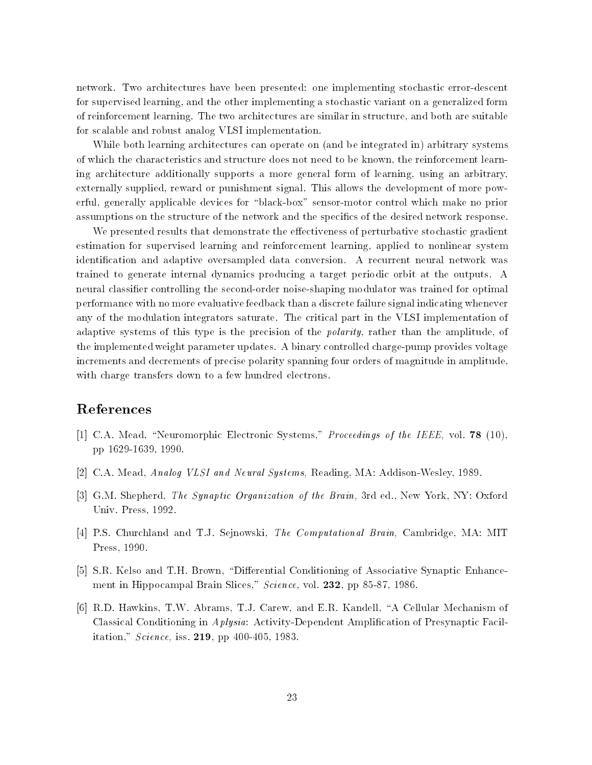network. Two architectures have been presented: one implementing stochastic error-descent for supervised learning, and the other implementing a stochastic variant on a generalized form of reinforcement learning. The two architectures are similar in structure, and both are suitable for scalable and robust analog VLSI implementation.

While both learning architectures can operate on (and be integrated in) arbitrary systems of which the characteristics and structure does not need to be known, the reinforcement learning architecture additionally supports a more general form of learning, using an arbitrary, externally supplied, reward or punishment signal. This allows the development of more powerful, generally applicable devices for \black-box" sensor-motor control which make no prior assumptions on the structure of the network and the specifics of the desired network response.

We presented results that demonstrate the effectiveness of perturbative stochastic gradient estimation for supervised learning and reinforcement learning, applied to nonlinear system identification and adaptive oversampled data conversion. A recurrent neural network was trained to generate internal dynamics producing a target periodic orbit at the outputs. A neural classifier controlling the second-order noise-shaping modulator was trained for optimal performance with no more evaluative feedback than a discrete failure signal indicating whenever any of the modulation integrators saturate. The critical part in the VLSI implementation of adaptive systems of this type is the precision of the *polarity*, rather than the amplitude, of the implemented weight parameter updates. A binary controlled charge-pump provides voltage increments and decrements of precise polarity spanning four orders of magnitude in amplitude, with charge transfers down to a few hundred electrons.

### References

- [1] C.A. Mead, "Neuromorphic Electronic Systems," *Proceedings of the IEEE*, vol. 78 (10), pp 1629-1639, 1990.
- [2] C.A. Mead, Analog VLSI and Neural Systems, Reading, MA: Addison-Wesley, 1989.
- [3] G.M. Shepherd, The Synaptic Organization of the Brain, 3rd ed., New York, NY: Oxford Univ. Press, 1992.
- [4] P.S. Churchland and T.J. Sejnowski, The Computational Brain, Cambridge, MA: MIT Press, 1990.
- [5] S.R. Kelso and T.H. Brown, "Differential Conditioning of Associative Synaptic Enhancement in Hippocampal Brain Slices," Science, vol. 232, pp 85-87, 1986.
- [6] R.D. Hawkins, T.W. Abrams, T.J. Carew, and E.R. Kandell, "A Cellular Mechanism of Classical Conditioning in Aplysia: Activity-Dependent Amplication of Presynaptic Facilitation," Science, iss. 219, pp 400-405, 1983.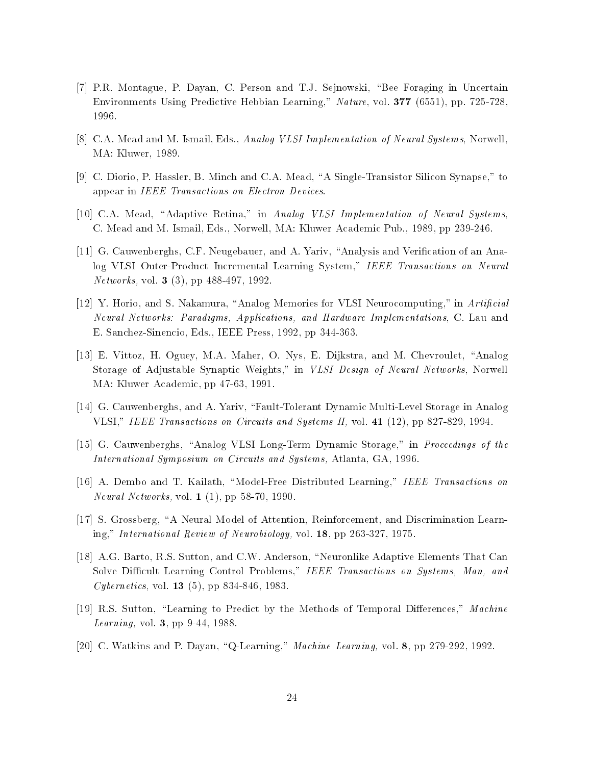- [7] P.R. Montague, P. Dayan, C. Person and T.J. Sejnowski, \Bee Foraging in Uncertain Environments Using Predictive Hebbian Learning," Nature, vol. 377 (6551), pp. 725-728, 1996.
- [8] C.A. Mead and M. Ismail, Eds., Analog VLSI Implementation of Neural Systems, Norwell, MA: Kluwer, 1989.
- [9] C. Diorio, P. Hassler, B. Minch and C.A. Mead, \A Single-Transistor Silicon Synapse," to appear in IEEE Transactions on Electron Devices.
- [10] C.A. Mead, "Adaptive Retina," in Analog VLSI Implementation of Neural Systems, C. Mead and M. Ismail, Eds., Norwell, MA: Kluwer Academic Pub., 1989, pp 239-246.
- [11] G. Cauwenberghs, C.F. Neugebauer, and A. Yariv, "Analysis and Verification of an Analog VLSI Outer-Product Incremental Learning System," IEEE Transactions on Neural Networks, vol. 3 (3), pp 488-497, 1992.
- [12] Y. Horio, and S. Nakamura, "Analog Memories for VLSI Neurocomputing," in Artificial Neural Networks: Paradigms, Applications, and Hardware Implementations, C. Lau and E. Sanchez-Sinencio, Eds., IEEE Press, 1992, pp 344-363.
- [13] E. Vittoz, H. Oguey, M.A. Maher, O. Nys, E. Dijkstra, and M. Chevroulet, \Analog Storage of Adjustable Synaptic Weights," in VLSI Design of Neural Networks, Norwell MA: Kluwer Academic, pp 47-63, 1991.
- [14] G. Cauwenberghs, and A. Yariv, \Fault-Tolerant Dynamic Multi-Level Storage in Analog VLSI," IEEE Transactions on Circuits and Systems II, vol. 41 (12), pp 827-829, 1994.
- [15] G. Cauwenberghs, "Analog VLSI Long-Term Dynamic Storage," in *Proceedings of the* International Symposium on Circuits and Systems, Atlanta, GA, 1996.
- [16] A. Dembo and T. Kailath, \Model-Free Distributed Learning," IEEE Transactions on Neural Networks, vol. 1 (1), pp 58-70, 1990.
- [17] S. Grossberg, "A Neural Model of Attention, Reinforcement, and Discrimination Learning," International Review of Neurobiology, vol. 18, pp 263-327, 1975.
- [18] A.G. Barto, R.S. Sutton, and C.W. Anderson, \Neuronlike Adaptive Elements That Can Solve Difficult Learning Control Problems," IEEE Transactions on Systems, Man, and Cybernetics, vol. 13 (5), pp 834-846, 1983.
- [19] R.S. Sutton, "Learning to Predict by the Methods of Temporal Differences," Machine Learning, vol. 3, pp 9-44, 1988.
- [20] C. Watkins and P. Dayan, "Q-Learning," *Machine Learning*, vol. 8, pp 279-292, 1992.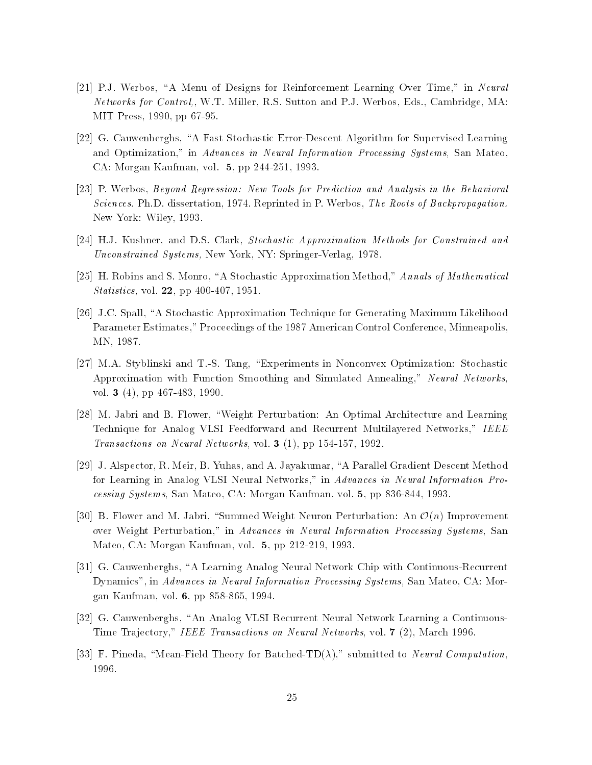- [21] P.J. Werbos, "A Menu of Designs for Reinforcement Learning Over Time," in Neural Networks for Control,, W.T. Miller, R.S. Sutton and P.J. Werbos, Eds., Cambridge, MA: MIT Press, 1990, pp 67-95.
- [22] G. Cauwenberghs, "A Fast Stochastic Error-Descent Algorithm for Supervised Learning and Optimization," in Advances in Neural Information Processing Systems, San Mateo, CA: Morgan Kaufman, vol. 5, pp 244-251, 1993.
- [23] P. Werbos, Beyond Regression: New Tools for Prediction and Analysis in the Behavioral Sciences. Ph.D. dissertation, 1974. Reprinted in P. Werbos, The Roots of Backpropagation. New York: Wiley, 1993.
- [24] H.J. Kushner, and D.S. Clark, Stochastic Approximation Methods for Constrained and Unconstrained Systems, New York, NY: Springer-Verlag, 1978.
- [25] H. Robins and S. Monro, "A Stochastic Approximation Method," Annals of Mathematical Statistics, vol. 22, pp 400-407, 1951.
- [26] J.C. Spall, "A Stochastic Approximation Technique for Generating Maximum Likelihood Parameter Estimates," Proceedings of the 1987 American Control Conference, Minneapolis, MN, 1987.
- [27] M.A. Styblinski and T.-S. Tang, \Experiments in Nonconvex Optimization: Stochastic Approximation with Function Smoothing and Simulated Annealing," Neural Networks, vol. 3 (4), pp 467-483, 1990.
- [28] M. Jabri and B. Flower, \Weight Perturbation: An Optimal Architecture and Learning Technique for Analog VLSI Feedforward and Recurrent Multilayered Networks," IEEE Transactions on Neural Networks, vol. 3 (1), pp 154-157, 1992.
- [29] J. Alspector, R. Meir, B. Yuhas, and A. Jayakumar, \A Parallel Gradient Descent Method for Learning in Analog VLSI Neural Networks," in Advances in Neural Information Processing Systems, San Mateo, CA: Morgan Kaufman, vol. 5, pp 836-844, 1993.
- [30] B. Flower and M. Jabri, "Summed Weight Neuron Perturbation: An  $\mathcal{O}(n)$  Improvement over Weight Perturbation," in Advances in Neural Information Processing Systems, San Mateo, CA: Morgan Kaufman, vol. 5, pp 212-219, 1993.
- [31] G. Cauwenberghs, "A Learning Analog Neural Network Chip with Continuous-Recurrent Dynamics", in Advances in Neural Information Processing Systems, San Mateo, CA: Morgan Kaufman, vol. 6, pp 858-865, 1994.
- [32] G. Cauwenberghs, "An Analog VLSI Recurrent Neural Network Learning a Continuous-Time Trajectory," IEEE Transactions on Neural Networks, vol. 7 (2), March 1996.
- [33] F. Pineda, "Mean-Field Theory for Batched-TD( $\lambda$ )," submitted to Neural Computation, 1996.